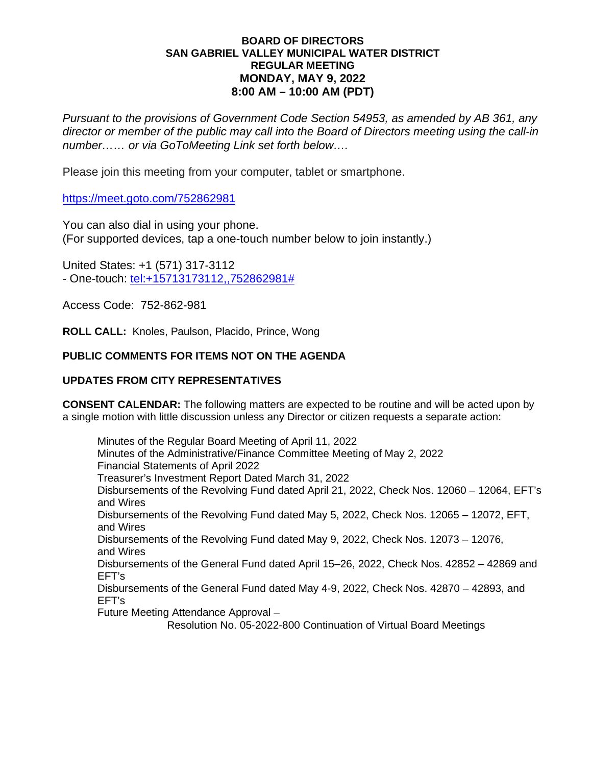# **BOARD OF DIRECTORS SAN GABRIEL VALLEY MUNICIPAL WATER DISTRICT REGULAR MEETING MONDAY, MAY 9, 2022 8:00 AM – 10:00 AM (PDT)**

*Pursuant to the provisions of Government Code Section 54953, as amended by AB 361, any director or member of the public may call into the Board of Directors meeting using the call-in number…… or via GoToMeeting Link set forth below….*

Please join this meeting from your computer, tablet or smartphone.

https://meet.goto.com/752862981

You can also dial in using your phone. (For supported devices, tap a one-touch number below to join instantly.)

United States: +1 (571) 317-3112 - One-touch: [tel:+15713173112,,752862981#](tel:+15713173112,,752862981)

Access Code: 752-862-981

**ROLL CALL:** Knoles, Paulson, Placido, Prince, Wong

# **PUBLIC COMMENTS FOR ITEMS NOT ON THE AGENDA**

# **UPDATES FROM CITY REPRESENTATIVES**

**CONSENT CALENDAR:** The following matters are expected to be routine and will be acted upon by a single motion with little discussion unless any Director or citizen requests a separate action:

Minutes of the Regular Board Meeting of April 11, 2022 Minutes of the Administrative/Finance Committee Meeting of May 2, 2022 Financial Statements of April 2022 Treasurer's Investment Report Dated March 31, 2022 Disbursements of the Revolving Fund dated April 21, 2022, Check Nos. 12060 – 12064, EFT's and Wires Disbursements of the Revolving Fund dated May 5, 2022, Check Nos. 12065 – 12072, EFT, and Wires Disbursements of the Revolving Fund dated May 9, 2022, Check Nos. 12073 – 12076, and Wires Disbursements of the General Fund dated April 15–26, 2022, Check Nos. 42852 – 42869 and EFT's Disbursements of the General Fund dated May 4-9, 2022, Check Nos. 42870 – 42893, and EFT's Future Meeting Attendance Approval – Resolution No. 05-2022-800 Continuation of Virtual Board Meetings